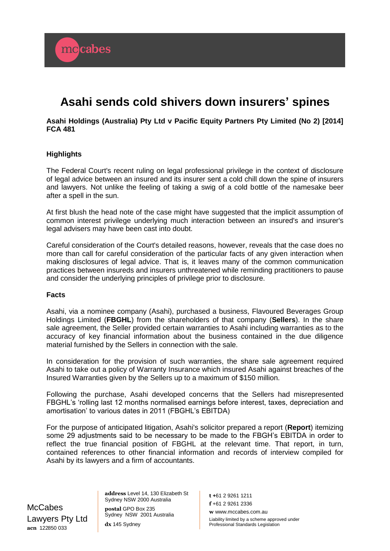

## **Asahi Holdings (Australia) Pty Ltd v Pacific Equity Partners Pty Limited (No 2) [2014] FCA 481**

## **Highlights**

mccabes

The Federal Court's recent ruling on legal professional privilege in the context of disclosure of legal advice between an insured and its insurer sent a cold chill down the spine of insurers and lawyers. Not unlike the feeling of taking a swig of a cold bottle of the namesake beer after a spell in the sun.

At first blush the head note of the case might have suggested that the implicit assumption of common interest privilege underlying much interaction between an insured's and insurer's legal advisers may have been cast into doubt.

Careful consideration of the Court's detailed reasons, however, reveals that the case does no more than call for careful consideration of the particular facts of any given interaction when making disclosures of legal advice. That is, it leaves many of the common communication practices between insureds and insurers unthreatened while reminding practitioners to pause and consider the underlying principles of privilege prior to disclosure.

## **Facts**

Asahi, via a nominee company (Asahi), purchased a business, Flavoured Beverages Group Holdings Limited (**FBGHL**) from the shareholders of that company (**Sellers**). In the share sale agreement, the Seller provided certain warranties to Asahi including warranties as to the accuracy of key financial information about the business contained in the due diligence material furnished by the Sellers in connection with the sale.

In consideration for the provision of such warranties, the share sale agreement required Asahi to take out a policy of Warranty Insurance which insured Asahi against breaches of the Insured Warranties given by the Sellers up to a maximum of \$150 million.

Following the purchase, Asahi developed concerns that the Sellers had misrepresented FBGHL's 'rolling last 12 months normalised earnings before interest, taxes, depreciation and amortisation' to various dates in 2011 (FBGHL's EBITDA)

For the purpose of anticipated litigation, Asahi's solicitor prepared a report (**Report**) itemizing some 29 adjustments said to be necessary to be made to the FBGH's EBITDA in order to reflect the true financial position of FBGHL at the relevant time. That report, in turn, contained references to other financial information and records of interview compiled for Asahi by its lawyers and a firm of accountants.

**McCabes** Lawyers Pty Ltd **acn** 122850 033

**address** Level 14, 130 Elizabeth St Sydney NSW 2000 Australia **postal** GPO Box 235 Sydney NSW 2001 Australia **dx** 145 Sydney

**t +**61 2 9261 1211 **f** +61 2 9261 2336 **w** www.mccabes.com.au

Liability limited by a scheme approved under Professional Standards Legislation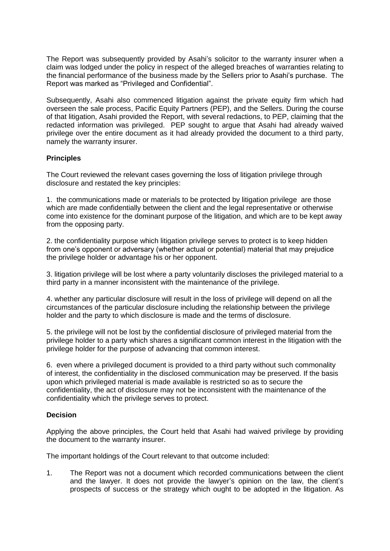The Report was subsequently provided by Asahi's solicitor to the warranty insurer when a claim was lodged under the policy in respect of the alleged breaches of warranties relating to the financial performance of the business made by the Sellers prior to Asahi's purchase. The Report was marked as "Privileged and Confidential".

Subsequently, Asahi also commenced litigation against the private equity firm which had overseen the sale process, Pacific Equity Partners (PEP), and the Sellers. During the course of that litigation, Asahi provided the Report, with several redactions, to PEP, claiming that the redacted information was privileged. PEP sought to argue that Asahi had already waived privilege over the entire document as it had already provided the document to a third party, namely the warranty insurer.

# **Principles**

The Court reviewed the relevant cases governing the loss of litigation privilege through disclosure and restated the key principles:

1. the communications made or materials to be protected by litigation privilege are those which are made confidentially between the client and the legal representative or otherwise come into existence for the dominant purpose of the litigation, and which are to be kept away from the opposing party.

2. the confidentiality purpose which litigation privilege serves to protect is to keep hidden from one's opponent or adversary (whether actual or potential) material that may prejudice the privilege holder or advantage his or her opponent.

3. litigation privilege will be lost where a party voluntarily discloses the privileged material to a third party in a manner inconsistent with the maintenance of the privilege.

4. whether any particular disclosure will result in the loss of privilege will depend on all the circumstances of the particular disclosure including the relationship between the privilege holder and the party to which disclosure is made and the terms of disclosure.

5. the privilege will not be lost by the confidential disclosure of privileged material from the privilege holder to a party which shares a significant common interest in the litigation with the privilege holder for the purpose of advancing that common interest.

6. even where a privileged document is provided to a third party without such commonality of interest, the confidentiality in the disclosed communication may be preserved. If the basis upon which privileged material is made available is restricted so as to secure the confidentiality, the act of disclosure may not be inconsistent with the maintenance of the confidentiality which the privilege serves to protect.

# **Decision**

Applying the above principles, the Court held that Asahi had waived privilege by providing the document to the warranty insurer.

The important holdings of the Court relevant to that outcome included:

1. The Report was not a document which recorded communications between the client and the lawyer. It does not provide the lawyer's opinion on the law, the client's prospects of success or the strategy which ought to be adopted in the litigation. As